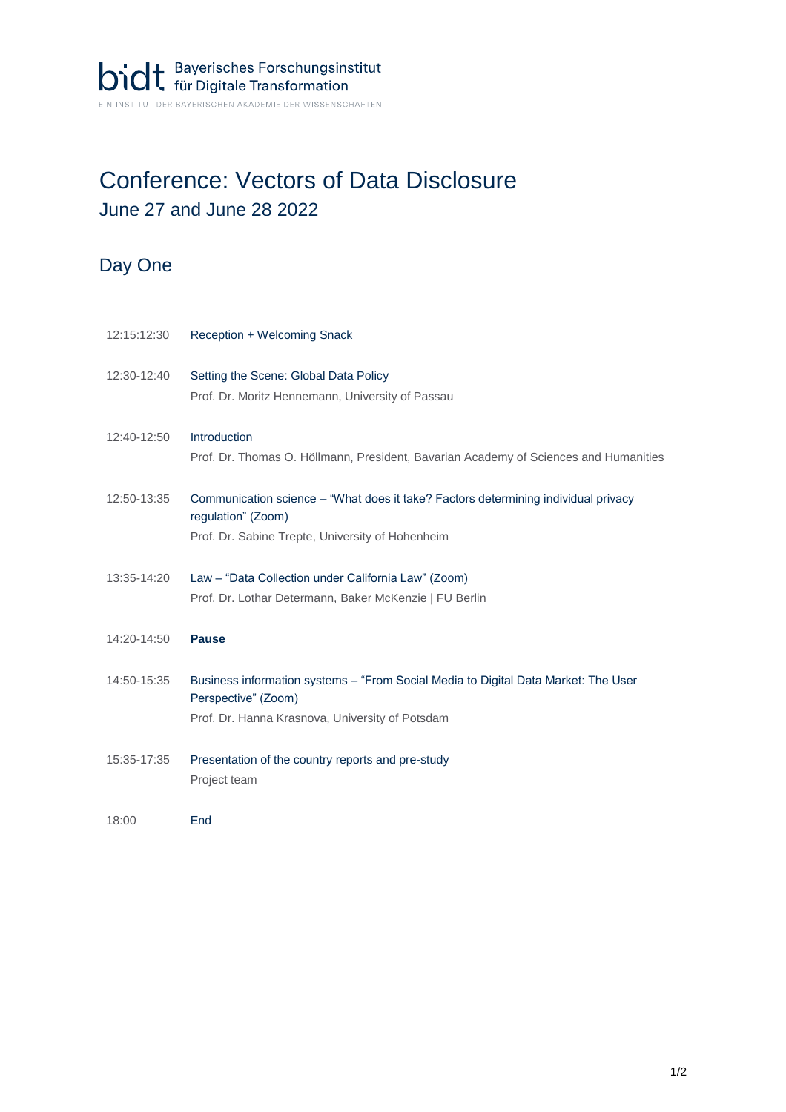## Conference: Vectors of Data Disclosure June 27 and June 28 2022

## Day One

| 12:15:12:30 | Reception + Welcoming Snack                                                                                                                                  |
|-------------|--------------------------------------------------------------------------------------------------------------------------------------------------------------|
| 12:30-12:40 | Setting the Scene: Global Data Policy<br>Prof. Dr. Moritz Hennemann, University of Passau                                                                    |
| 12:40-12:50 | Introduction<br>Prof. Dr. Thomas O. Höllmann, President, Bavarian Academy of Sciences and Humanities                                                         |
| 12:50-13:35 | Communication science - "What does it take? Factors determining individual privacy<br>regulation" (Zoom)<br>Prof. Dr. Sabine Trepte, University of Hohenheim |
| 13:35-14:20 | Law - "Data Collection under California Law" (Zoom)<br>Prof. Dr. Lothar Determann, Baker McKenzie   FU Berlin                                                |
| 14:20-14:50 | <b>Pause</b>                                                                                                                                                 |
| 14:50-15:35 | Business information systems - "From Social Media to Digital Data Market: The User<br>Perspective" (Zoom)<br>Prof. Dr. Hanna Krasnova, University of Potsdam |
| 15:35-17:35 | Presentation of the country reports and pre-study<br>Project team                                                                                            |
| 18:00       | End                                                                                                                                                          |
|             |                                                                                                                                                              |